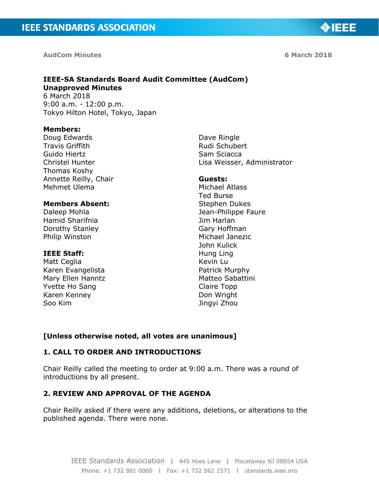**AudCom Minutes 6 March 2018**

◈IEEE

# **IEEE-SA Standards Board Audit Committee (AudCom) Unapproved Minutes**

6 March 2018 9:00 a.m. - 12:00 p.m. Tokyo Hilton Hotel, Tokyo, Japan

#### **Members:**

Doug Edwards Travis Griffith Guido Hiertz Christel Hunter Thomas Koshy Annette Reilly, Chair Mehmet Ulema

## **Members Absent:**

Daleep Mohla Hamid Sharifnia Dorothy Stanley Philip Winston

#### **IEEE Staff:**

Matt Ceglia Karen Evangelista Mary Ellen Hanntz Yvette Ho Sang Karen Kenney Soo Kim

Dave Ringle Rudi Schubert Sam Sciacca Lisa Weisser, Administrator

#### **Guests:**

Michael Atlass Ted Burse Stephen Dukes Jean-Philippe Faure Jim Harlan Gary Hoffman Michael Janezic John Kulick Hung Ling Kevin Lu Patrick Murphy Matteo Sabattini Claire Topp Don Wright Jingyi Zhou

### **[Unless otherwise noted, all votes are unanimous]**

## **1. CALL TO ORDER AND INTRODUCTIONS**

Chair Reilly called the meeting to order at 9:00 a.m. There was a round of introductions by all present.

### **2. REVIEW AND APPROVAL OF THE AGENDA**

Chair Reilly asked if there were any additions, deletions, or alterations to the published agenda. There were none.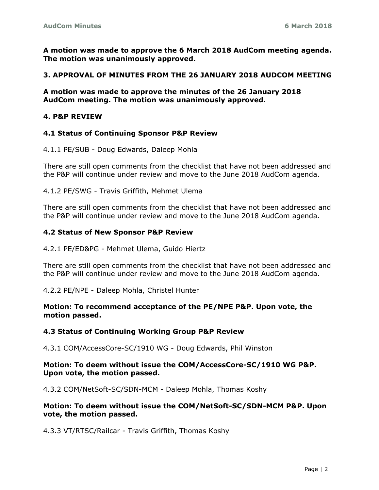**A motion was made to approve the 6 March 2018 AudCom meeting agenda. The motion was unanimously approved.**

## **3. APPROVAL OF MINUTES FROM THE 26 JANUARY 2018 AUDCOM MEETING**

**A motion was made to approve the minutes of the 26 January 2018 AudCom meeting. The motion was unanimously approved.**

### **4. P&P REVIEW**

### **4.1 Status of Continuing Sponsor P&P Review**

4.1.1 PE/SUB - Doug Edwards, Daleep Mohla

There are still open comments from the checklist that have not been addressed and the P&P will continue under review and move to the June 2018 AudCom agenda.

4.1.2 PE/SWG - Travis Griffith, Mehmet Ulema

There are still open comments from the checklist that have not been addressed and the P&P will continue under review and move to the June 2018 AudCom agenda.

### **4.2 Status of New Sponsor P&P Review**

4.2.1 PE/ED&PG - Mehmet Ulema, Guido Hiertz

There are still open comments from the checklist that have not been addressed and the P&P will continue under review and move to the June 2018 AudCom agenda.

4.2.2 PE/NPE - Daleep Mohla, Christel Hunter

**Motion: To recommend acceptance of the PE/NPE P&P. Upon vote, the motion passed.**

#### **4.3 Status of Continuing Working Group P&P Review**

4.3.1 COM/AccessCore-SC/1910 WG - Doug Edwards, Phil Winston

### **Motion: To deem without issue the COM/AccessCore-SC/1910 WG P&P. Upon vote, the motion passed.**

4.3.2 COM/NetSoft-SC/SDN-MCM - Daleep Mohla, Thomas Koshy

### **Motion: To deem without issue the COM/NetSoft-SC/SDN-MCM P&P. Upon vote, the motion passed.**

4.3.3 VT/RTSC/Railcar - Travis Griffith, Thomas Koshy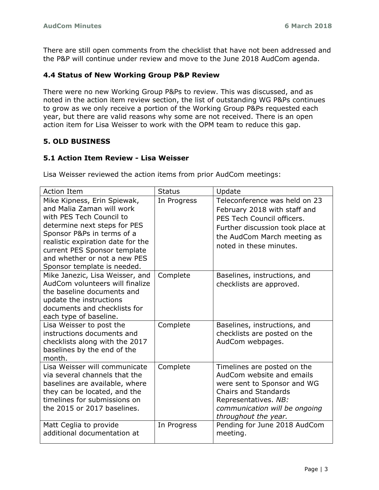There are still open comments from the checklist that have not been addressed and the P&P will continue under review and move to the June 2018 AudCom agenda.

## **4.4 Status of New Working Group P&P Review**

There were no new Working Group P&Ps to review. This was discussed, and as noted in the action item review section, the list of outstanding WG P&Ps continues to grow as we only receive a portion of the Working Group P&Ps requested each year, but there are valid reasons why some are not received. There is an open action item for Lisa Weisser to work with the OPM team to reduce this gap.

## **5. OLD BUSINESS**

## **5.1 Action Item Review - Lisa Weisser**

Lisa Weisser reviewed the action items from prior AudCom meetings:

| <b>Action Item</b>                                                                                                                                                                                                                                                                     | <b>Status</b> | Update                                                                                                                                                                                                  |
|----------------------------------------------------------------------------------------------------------------------------------------------------------------------------------------------------------------------------------------------------------------------------------------|---------------|---------------------------------------------------------------------------------------------------------------------------------------------------------------------------------------------------------|
| Mike Kipness, Erin Spiewak,<br>and Malia Zaman will work<br>with PES Tech Council to<br>determine next steps for PES<br>Sponsor P&Ps in terms of a<br>realistic expiration date for the<br>current PES Sponsor template<br>and whether or not a new PES<br>Sponsor template is needed. | In Progress   | Teleconference was held on 23<br>February 2018 with staff and<br>PES Tech Council officers.<br>Further discussion took place at<br>the AudCom March meeting as<br>noted in these minutes.               |
| Mike Janezic, Lisa Weisser, and<br>AudCom volunteers will finalize<br>the baseline documents and<br>update the instructions<br>documents and checklists for<br>each type of baseline.                                                                                                  | Complete      | Baselines, instructions, and<br>checklists are approved.                                                                                                                                                |
| Lisa Weisser to post the<br>instructions documents and<br>checklists along with the 2017<br>baselines by the end of the<br>month.                                                                                                                                                      | Complete      | Baselines, instructions, and<br>checklists are posted on the<br>AudCom webpages.                                                                                                                        |
| Lisa Weisser will communicate<br>via several channels that the<br>baselines are available, where<br>they can be located, and the<br>timelines for submissions on<br>the 2015 or 2017 baselines.                                                                                        | Complete      | Timelines are posted on the<br>AudCom website and emails<br>were sent to Sponsor and WG<br><b>Chairs and Standards</b><br>Representatives. NB:<br>communication will be ongoing<br>throughout the year. |
| Matt Ceglia to provide<br>additional documentation at                                                                                                                                                                                                                                  | In Progress   | Pending for June 2018 AudCom<br>meeting.                                                                                                                                                                |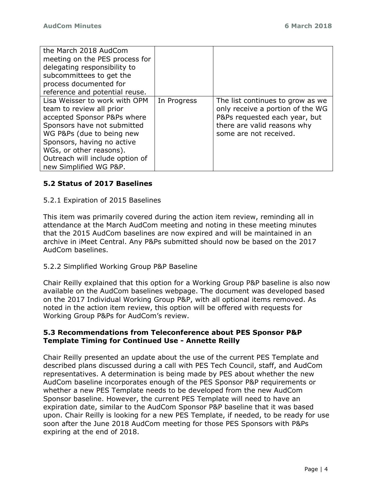| the March 2018 AudCom           |             |                                  |
|---------------------------------|-------------|----------------------------------|
| meeting on the PES process for  |             |                                  |
| delegating responsibility to    |             |                                  |
| subcommittees to get the        |             |                                  |
| process documented for          |             |                                  |
| reference and potential reuse.  |             |                                  |
| Lisa Weisser to work with OPM   | In Progress | The list continues to grow as we |
| team to review all prior        |             | only receive a portion of the WG |
| accepted Sponsor P&Ps where     |             | P&Ps requested each year, but    |
| Sponsors have not submitted     |             | there are valid reasons why      |
| WG P&Ps (due to being new       |             | some are not received.           |
| Sponsors, having no active      |             |                                  |
| WGs, or other reasons).         |             |                                  |
| Outreach will include option of |             |                                  |
| new Simplified WG P&P.          |             |                                  |

## **5.2 Status of 2017 Baselines**

## 5.2.1 Expiration of 2015 Baselines

This item was primarily covered during the action item review, reminding all in attendance at the March AudCom meeting and noting in these meeting minutes that the 2015 AudCom baselines are now expired and will be maintained in an archive in iMeet Central. Any P&Ps submitted should now be based on the 2017 AudCom baselines.

### 5.2.2 Simplified Working Group P&P Baseline

Chair Reilly explained that this option for a Working Group P&P baseline is also now available on the AudCom baselines webpage. The document was developed based on the 2017 Individual Working Group P&P, with all optional items removed. As noted in the action item review, this option will be offered with requests for Working Group P&Ps for AudCom's review.

## **5.3 Recommendations from Teleconference about PES Sponsor P&P Template Timing for Continued Use - Annette Reilly**

Chair Reilly presented an update about the use of the current PES Template and described plans discussed during a call with PES Tech Council, staff, and AudCom representatives. A determination is being made by PES about whether the new AudCom baseline incorporates enough of the PES Sponsor P&P requirements or whether a new PES Template needs to be developed from the new AudCom Sponsor baseline. However, the current PES Template will need to have an expiration date, similar to the AudCom Sponsor P&P baseline that it was based upon. Chair Reilly is looking for a new PES Template, if needed, to be ready for use soon after the June 2018 AudCom meeting for those PES Sponsors with P&Ps expiring at the end of 2018.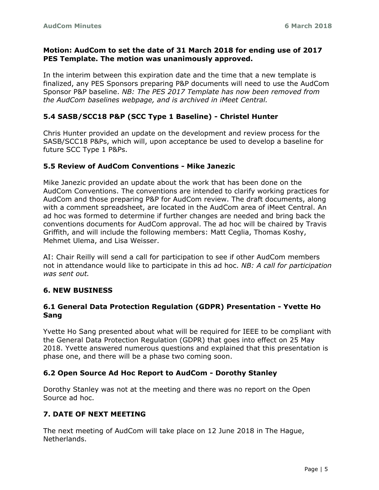## **Motion: AudCom to set the date of 31 March 2018 for ending use of 2017 PES Template. The motion was unanimously approved.**

In the interim between this expiration date and the time that a new template is finalized, any PES Sponsors preparing P&P documents will need to use the AudCom Sponsor P&P baseline. *NB: The PES 2017 Template has now been removed from the AudCom baselines webpage, and is archived in iMeet Central.*

## **5.4 SASB/SCC18 P&P (SCC Type 1 Baseline) - Christel Hunter**

Chris Hunter provided an update on the development and review process for the SASB/SCC18 P&Ps, which will, upon acceptance be used to develop a baseline for future SCC Type 1 P&Ps.

## **5.5 Review of AudCom Conventions - Mike Janezic**

Mike Janezic provided an update about the work that has been done on the AudCom Conventions. The conventions are intended to clarify working practices for AudCom and those preparing P&P for AudCom review. The draft documents, along with a comment spreadsheet, are located in the AudCom area of iMeet Central. An ad hoc was formed to determine if further changes are needed and bring back the conventions documents for AudCom approval. The ad hoc will be chaired by Travis Griffith, and will include the following members: Matt Ceglia, Thomas Koshy, Mehmet Ulema, and Lisa Weisser.

AI: Chair Reilly will send a call for participation to see if other AudCom members not in attendance would like to participate in this ad hoc. *NB: A call for participation was sent out.*

## **6. NEW BUSINESS**

## **6.1 General Data Protection Regulation (GDPR) Presentation - Yvette Ho Sang**

Yvette Ho Sang presented about what will be required for IEEE to be compliant with the General Data Protection Regulation (GDPR) that goes into effect on 25 May 2018. Yvette answered numerous questions and explained that this presentation is phase one, and there will be a phase two coming soon.

## **6.2 Open Source Ad Hoc Report to AudCom - Dorothy Stanley**

Dorothy Stanley was not at the meeting and there was no report on the Open Source ad hoc.

## **7. DATE OF NEXT MEETING**

The next meeting of AudCom will take place on 12 June 2018 in The Hague, Netherlands.